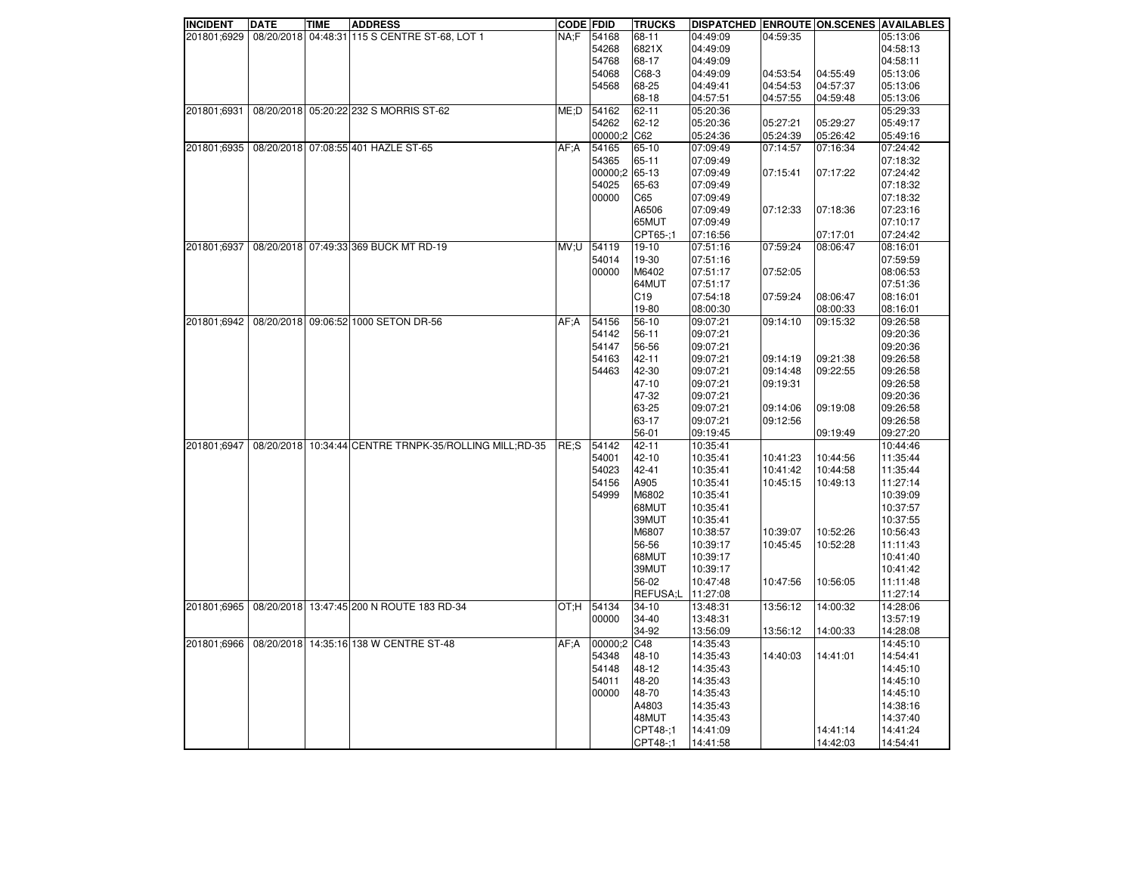| <b>INCIDENT</b> | <b>DATE</b> | <b>TIME</b> | <b>ADDRESS</b>                                         | <b>CODE FDID</b> |               | <b>TRUCKS</b>        | <b>DISPATCHED ENROUTE ON SCENES AVAILABLES</b> |          |                      |                      |
|-----------------|-------------|-------------|--------------------------------------------------------|------------------|---------------|----------------------|------------------------------------------------|----------|----------------------|----------------------|
| 201801;6929     |             |             | 08/20/2018 04:48:31 115 S CENTRE ST-68, LOT 1          | NA;F             | 54168         | 68-11                | 04:49:09                                       | 04:59:35 |                      | 05:13:06             |
|                 |             |             |                                                        |                  | 54268         | 6821X                | 04:49:09                                       |          |                      | 04:58:13             |
|                 |             |             |                                                        |                  | 54768         | 68-17                | 04:49:09                                       |          |                      | 04:58:11             |
|                 |             |             |                                                        |                  | 54068         | C68-3                | 04:49:09                                       | 04:53:54 | 04:55:49             | 05:13:06             |
|                 |             |             |                                                        |                  | 54568         | 68-25                | 04:49:41                                       | 04:54:53 | 04:57:37             | 05:13:06             |
|                 |             |             |                                                        |                  |               | 68-18                | 04:57:51                                       | 04:57:55 | 04:59:48             | 05:13:06             |
| 201801;6931     |             |             | 08/20/2018 05:20:22 232 S MORRIS ST-62                 | ME:D             | 54162         | 62-11                | 05:20:36                                       |          |                      | 05:29:33             |
|                 |             |             |                                                        |                  | 54262         | 62-12                | 05:20:36                                       | 05:27:21 | 05:29:27             | 05:49:17             |
|                 |             |             |                                                        |                  |               |                      |                                                |          |                      |                      |
|                 |             |             |                                                        |                  | 00000;2 C62   |                      | 05:24:36                                       | 05:24:39 | 05:26:42             | 05:49:16             |
| 201801;6935     |             |             | 08/20/2018 07:08:55 401 HAZLE ST-65                    | AF:A             | 54165         | 65-10                | 07:09:49                                       | 07:14:57 | 07:16:34             | 07:24:42             |
|                 |             |             |                                                        |                  | 54365         | 65-11                | 07:09:49                                       |          |                      | 07:18:32             |
|                 |             |             |                                                        |                  | 00000;2 65-13 |                      | 07:09:49                                       | 07:15:41 | 07:17:22             | 07:24:42             |
|                 |             |             |                                                        |                  | 54025         | 65-63                | 07:09:49                                       |          |                      | 07:18:32             |
|                 |             |             |                                                        |                  | 00000         | C65                  | 07:09:49                                       |          |                      | 07:18:32             |
|                 |             |             |                                                        |                  |               | A6506                | 07:09:49                                       | 07:12:33 | 07:18:36             | 07:23:16             |
|                 |             |             |                                                        |                  |               | 65MUT                | 07:09:49                                       |          |                      | 07:10:17             |
|                 |             |             |                                                        |                  |               | CPT65-;1             | 07:16:56                                       |          | 07:17:01             | 07:24:42             |
|                 |             |             | 201801;6937 08/20/2018 07:49:33 369 BUCK MT RD-19      |                  | MV:U 54119    | 19-10                | 07:51:16                                       | 07:59:24 | 08:06:47             | 08:16:01             |
|                 |             |             |                                                        |                  |               |                      |                                                |          |                      |                      |
|                 |             |             |                                                        |                  | 54014         | 19-30                | 07:51:16                                       |          |                      | 07:59:59             |
|                 |             |             |                                                        |                  | 00000         | M6402                | 07:51:17                                       | 07:52:05 |                      | 08:06:53             |
|                 |             |             |                                                        |                  |               | 64MUT                | 07:51:17                                       |          |                      | 07:51:36             |
|                 |             |             |                                                        |                  |               | C19                  | 07:54:18                                       | 07:59:24 | 08:06:47             | 08:16:01             |
|                 |             |             |                                                        |                  |               | 19-80                | 08:00:30                                       |          | 08:00:33             | 08:16:01             |
| 201801:6942     |             |             | 08/20/2018 09:06:52 1000 SETON DR-56                   | AF:A             | 54156         | 56-10                | 09:07:21                                       | 09:14:10 | 09:15:32             | 09:26:58             |
|                 |             |             |                                                        |                  | 54142         | 56-11                | 09:07:21                                       |          |                      | 09:20:36             |
|                 |             |             |                                                        |                  | 54147         | 56-56                | 09:07:21                                       |          |                      | 09:20:36             |
|                 |             |             |                                                        |                  | 54163         | 42-11                | 09:07:21                                       | 09:14:19 | 09:21:38             | 09:26:58             |
|                 |             |             |                                                        |                  | 54463         | 42-30                | 09:07:21                                       | 09:14:48 | 09:22:55             | 09:26:58             |
|                 |             |             |                                                        |                  |               |                      |                                                |          |                      |                      |
|                 |             |             |                                                        |                  |               | 47-10                | 09:07:21                                       | 09:19:31 |                      | 09:26:58             |
|                 |             |             |                                                        |                  |               | 47-32                | 09:07:21                                       |          |                      | 09:20:36             |
|                 |             |             |                                                        |                  |               | 63-25                | 09:07:21                                       | 09:14:06 | 09:19:08             | 09:26:58             |
|                 |             |             |                                                        |                  |               | 63-17                | 09:07:21                                       | 09:12:56 |                      | 09:26:58             |
|                 |             |             |                                                        |                  |               | 56-01                | 09:19:45                                       |          | 09:19:49             | 09:27:20             |
| 201801:6947     |             |             | 08/20/2018 10:34:44 CENTRE TRNPK-35/ROLLING MILL;RD-35 | <b>RE:S</b>      | 54142         | 42-11                | 10:35:41                                       |          |                      | 10:44:46             |
|                 |             |             |                                                        |                  | 54001         | 42-10                | 10:35:41                                       | 10:41:23 | 10:44:56             | 11:35:44             |
|                 |             |             |                                                        |                  | 54023         | 42-41                | 10:35:41                                       | 10:41:42 | 10:44:58             | 11:35:44             |
|                 |             |             |                                                        |                  | 54156         | A905                 | 10:35:41                                       | 10:45:15 | 10:49:13             | 11:27:14             |
|                 |             |             |                                                        |                  | 54999         |                      |                                                |          |                      |                      |
|                 |             |             |                                                        |                  |               | M6802                | 10:35:41                                       |          |                      | 10:39:09             |
|                 |             |             |                                                        |                  |               | 68MUT                | 10:35:41                                       |          |                      | 10:37:57             |
|                 |             |             |                                                        |                  |               | 39MUT                | 10:35:41                                       |          |                      | 10:37:55             |
|                 |             |             |                                                        |                  |               | M6807                | 10:38:57                                       | 10:39:07 | 10:52:26             | 10:56:43             |
|                 |             |             |                                                        |                  |               | 56-56                | 10:39:17                                       | 10:45:45 | 10:52:28             | 11:11:43             |
|                 |             |             |                                                        |                  |               | 68MUT                | 10:39:17                                       |          |                      | 10:41:40             |
|                 |             |             |                                                        |                  |               | 39MUT                | 10:39:17                                       |          |                      | 10:41:42             |
|                 |             |             |                                                        |                  |               | 56-02                | 10:47:48                                       | 10:47:56 | 10:56:05             | 11:11:48             |
|                 |             |             |                                                        |                  |               | REFUSA;L             | 11:27:08                                       |          |                      | 11:27:14             |
| 201801;6965     |             |             | 08/20/2018 13:47:45 200 N ROUTE 183 RD-34              |                  | OT:H 54134    | 34-10                | 13:48:31                                       | 13:56:12 | 14:00:32             | 14:28:06             |
|                 |             |             |                                                        |                  | 00000         | 34-40                | 13:48:31                                       |          |                      | 13:57:19             |
|                 |             |             |                                                        |                  |               |                      |                                                |          |                      |                      |
|                 |             |             |                                                        |                  |               | 34-92                | 13:56:09                                       | 13:56:12 | 14:00:33             | 14:28:08             |
| 201801;6966     |             |             | 08/20/2018 14:35:16 138 W CENTRE ST-48                 | AF: A            | 00000:2       | C48                  | 14:35:43                                       |          |                      | 14:45:10             |
|                 |             |             |                                                        |                  | 54348         | 48-10                | 14:35:43                                       | 14:40:03 | 14:41:01             | 14:54:41             |
|                 |             |             |                                                        |                  | 54148         | 48-12                | 14:35:43                                       |          |                      | 14:45:10             |
|                 |             |             |                                                        |                  | 54011         | 48-20                | 14:35:43                                       |          |                      | 14:45:10             |
|                 |             |             |                                                        |                  |               |                      |                                                |          |                      | 14:45:10             |
|                 |             |             |                                                        |                  |               |                      |                                                |          |                      |                      |
|                 |             |             |                                                        |                  | 00000         | 48-70                | 14:35:43                                       |          |                      |                      |
|                 |             |             |                                                        |                  |               | A4803                | 14:35:43                                       |          |                      | 14:38:16             |
|                 |             |             |                                                        |                  |               | 48MUT                | 14:35:43                                       |          |                      | 14:37:40             |
|                 |             |             |                                                        |                  |               | CPT48-:1<br>CPT48-;1 | 14:41:09<br>14:41:58                           |          | 14:41:14<br>14:42:03 | 14:41:24<br>14:54:41 |